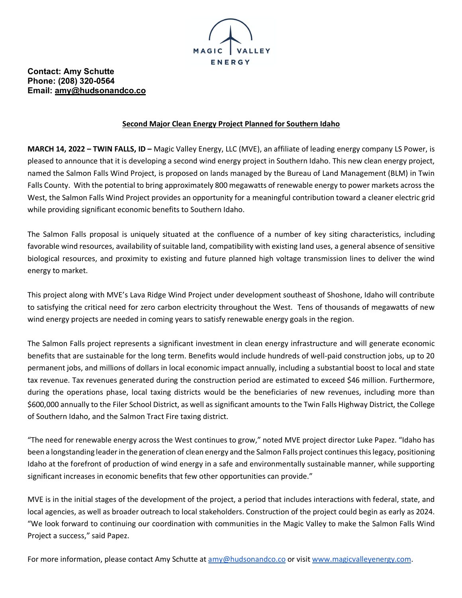

## **Contact: Amy Schutte Phone: (208) 320-0564 Email: amy@hudsonandco.co**

## **Second Major Clean Energy Project Planned for Southern Idaho**

**MARCH 14, 2022 – TWIN FALLS, ID –** Magic Valley Energy, LLC (MVE), an affiliate of leading energy company LS Power, is pleased to announce that it is developing a second wind energy project in Southern Idaho. This new clean energy project, named the Salmon Falls Wind Project, is proposed on lands managed by the Bureau of Land Management (BLM) in Twin Falls County. With the potential to bring approximately 800 megawatts of renewable energy to power markets across the West, the Salmon Falls Wind Project provides an opportunity for a meaningful contribution toward a cleaner electric grid while providing significant economic benefits to Southern Idaho.

The Salmon Falls proposal is uniquely situated at the confluence of a number of key siting characteristics, including favorable wind resources, availability of suitable land, compatibility with existing land uses, a general absence of sensitive biological resources, and proximity to existing and future planned high voltage transmission lines to deliver the wind energy to market.

This project along with MVE's Lava Ridge Wind Project under development southeast of Shoshone, Idaho will contribute to satisfying the critical need for zero carbon electricity throughout the West. Tens of thousands of megawatts of new wind energy projects are needed in coming years to satisfy renewable energy goals in the region.

The Salmon Falls project represents a significant investment in clean energy infrastructure and will generate economic benefits that are sustainable for the long term. Benefits would include hundreds of well-paid construction jobs, up to 20 permanent jobs, and millions of dollars in local economic impact annually, including a substantial boost to local and state tax revenue. Tax revenues generated during the construction period are estimated to exceed \$46 million. Furthermore, during the operations phase, local taxing districts would be the beneficiaries of new revenues, including more than \$600,000 annually to the Filer School District, as well as significant amounts to the Twin Falls Highway District, the College of Southern Idaho, and the Salmon Tract Fire taxing district.

"The need for renewable energy across the West continues to grow," noted MVE project director Luke Papez. "Idaho has been a longstanding leader in the generation of clean energy and the Salmon Falls project continues this legacy, positioning Idaho at the forefront of production of wind energy in a safe and environmentally sustainable manner, while supporting significant increases in economic benefits that few other opportunities can provide."

MVE is in the initial stages of the development of the project, a period that includes interactions with federal, state, and local agencies, as well as broader outreach to local stakeholders. Construction of the project could begin as early as 2024. "We look forward to continuing our coordination with communities in the Magic Valley to make the Salmon Falls Wind Project a success," said Papez.

For more information, please contact Amy Schutte at amy@hudsonandco.co or visit www.magicvalleyenergy.com.